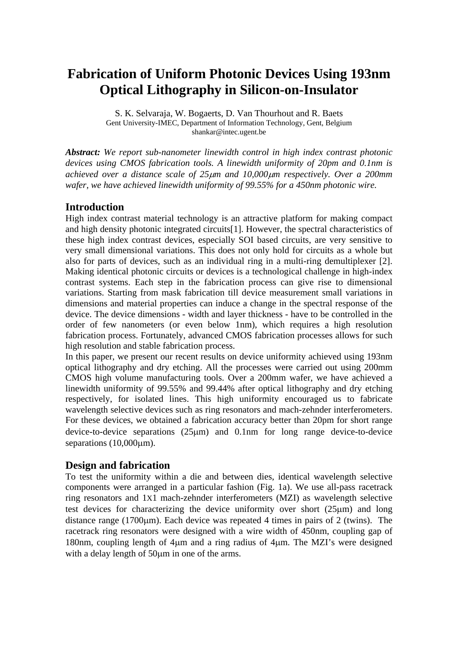# **Fabrication of Uniform Photonic Devices Using 193nm Optical Lithography in Silicon-on-Insulator**

S. K. Selvaraja, W. Bogaerts, D. Van Thourhout and R. Baets Gent University-IMEC, Department of Information Technology, Gent, Belgium shankar@intec.ugent.be

*Abstract: We report sub-nanometer linewidth control in high index contrast photonic devices using CMOS fabrication tools. A linewidth uniformity of 20pm and 0.1nm is achieved over a distance scale of 25*μ*m and 10,000*μ*m respectively. Over a 200mm wafer, we have achieved linewidth uniformity of 99.55% for a 450nm photonic wire.* 

# **Introduction**

High index contrast material technology is an attractive platform for making compact and high density photonic integrated circuits[1]. However, the spectral characteristics of these high index contrast devices, especially SOI based circuits, are very sensitive to very small dimensional variations. This does not only hold for circuits as a whole but also for parts of devices, such as an individual ring in a multi-ring demultiplexer [2]. Making identical photonic circuits or devices is a technological challenge in high-index contrast systems. Each step in the fabrication process can give rise to dimensional variations. Starting from mask fabrication till device measurement small variations in dimensions and material properties can induce a change in the spectral response of the device. The device dimensions - width and layer thickness - have to be controlled in the order of few nanometers (or even below 1nm), which requires a high resolution fabrication process. Fortunately, advanced CMOS fabrication processes allows for such high resolution and stable fabrication process.

In this paper, we present our recent results on device uniformity achieved using 193nm optical lithography and dry etching. All the processes were carried out using 200mm CMOS high volume manufacturing tools. Over a 200mm wafer, we have achieved a linewidth uniformity of 99.55% and 99.44% after optical lithography and dry etching respectively, for isolated lines. This high uniformity encouraged us to fabricate wavelength selective devices such as ring resonators and mach-zehnder interferometers. For these devices, we obtained a fabrication accuracy better than 20pm for short range device-to-device separations (25μm) and 0.1nm for long range device-to-device separations (10,000μm).

# **Design and fabrication**

To test the uniformity within a die and between dies, identical wavelength selective components were arranged in a particular fashion (Fig. 1a). We use all-pass racetrack ring resonators and 1X1 mach-zehnder interferometers (MZI) as wavelength selective test devices for characterizing the device uniformity over short (25μm) and long distance range (1700μm). Each device was repeated 4 times in pairs of 2 (twins). The racetrack ring resonators were designed with a wire width of 450nm, coupling gap of 180nm, coupling length of 4μm and a ring radius of 4μm. The MZI's were designed with a delay length of 50<sub>um</sub> in one of the arms.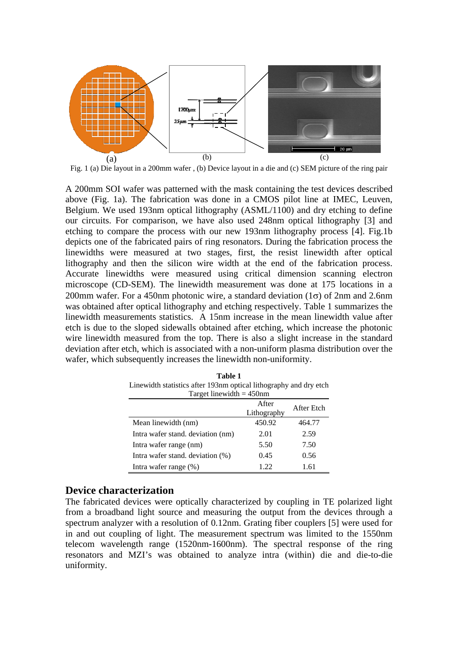

Fig. 1 (a) Die layout in a 200mm wafer , (b) Device layout in a die and (c) SEM picture of the ring pair

A 200mm SOI wafer was patterned with the mask containing the test devices described above (Fig. 1a). The fabrication was done in a CMOS pilot line at IMEC, Leuven, Belgium. We used 193nm optical lithography (ASML/1100) and dry etching to define our circuits. For comparison, we have also used 248nm optical lithography [3] and etching to compare the process with our new 193nm lithography process [4]. Fig.1b depicts one of the fabricated pairs of ring resonators. During the fabrication process the linewidths were measured at two stages, first, the resist linewidth after optical lithography and then the silicon wire width at the end of the fabrication process. Accurate linewidths were measured using critical dimension scanning electron microscope (CD-SEM). The linewidth measurement was done at 175 locations in a 200mm wafer. For a 450nm photonic wire, a standard deviation  $(1\sigma)$  of 2nm and 2.6nm was obtained after optical lithography and etching respectively. Table 1 summarizes the linewidth measurements statistics. A 15nm increase in the mean linewidth value after etch is due to the sloped sidewalls obtained after etching, which increase the photonic wire linewidth measured from the top. There is also a slight increase in the standard deviation after etch, which is associated with a non-uniform plasma distribution over the wafer, which subsequently increases the linewidth non-uniformity.

| Target linewidth $=$ 450nm        |                      |            |  |  |  |
|-----------------------------------|----------------------|------------|--|--|--|
|                                   | After<br>Lithography | After Etch |  |  |  |
| Mean linewidth (nm)               | 450.92               | 464.77     |  |  |  |
| Intra wafer stand, deviation (nm) | 2.01                 | 2.59       |  |  |  |
| Intra wafer range (nm)            | 5.50                 | 7.50       |  |  |  |
| Intra wafer stand. deviation (%)  | 0.45                 | 0.56       |  |  |  |
| Intra wafer range (%)             | 1.22                 | 1.61       |  |  |  |

**Table 1**  Linewidth statistics after 193nm optical lithography and dry etch Target linewidth  $= 450$ nm

#### **Device characterization**

The fabricated devices were optically characterized by coupling in TE polarized light from a broadband light source and measuring the output from the devices through a spectrum analyzer with a resolution of 0.12nm. Grating fiber couplers [5] were used for in and out coupling of light. The measurement spectrum was limited to the 1550nm telecom wavelength range (1520nm-1600nm). The spectral response of the ring resonators and MZI's was obtained to analyze intra (within) die and die-to-die uniformity.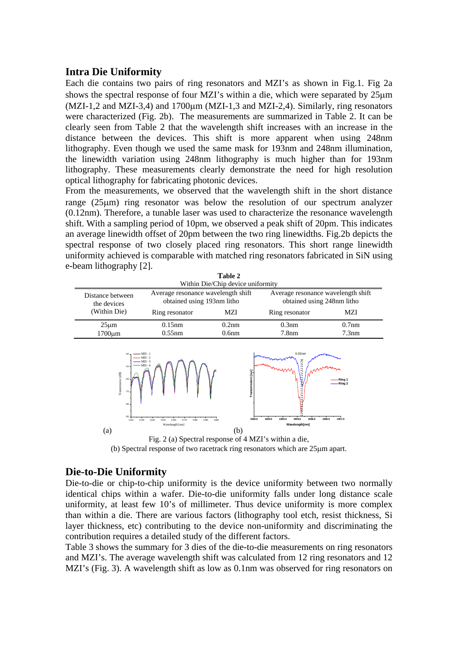# **Intra Die Uniformity**

Each die contains two pairs of ring resonators and MZI's as shown in Fig.1. Fig 2a shows the spectral response of four MZI's within a die, which were separated by 25μm (MZI-1,2 and MZI-3,4) and 1700μm (MZI-1,3 and MZI-2,4). Similarly, ring resonators were characterized (Fig. 2b). The measurements are summarized in Table 2. It can be clearly seen from Table 2 that the wavelength shift increases with an increase in the distance between the devices. This shift is more apparent when using 248nm lithography. Even though we used the same mask for 193nm and 248nm illumination, the linewidth variation using 248nm lithography is much higher than for 193nm lithography. These measurements clearly demonstrate the need for high resolution optical lithography for fabricating photonic devices.

From the measurements, we observed that the wavelength shift in the short distance range (25μm) ring resonator was below the resolution of our spectrum analyzer (0.12nm). Therefore, a tunable laser was used to characterize the resonance wavelength shift. With a sampling period of 10pm, we observed a peak shift of 20pm. This indicates an average linewidth offset of 20pm between the two ring linewidths. Fig.2b depicts the spectral response of two closely placed ring resonators. This short range linewidth uniformity achieved is comparable with matched ring resonators fabricated in SiN using e-beam lithography [2].

|                                                                      |                                                                                                   | Table 2                              |                                                                                       |                                        |
|----------------------------------------------------------------------|---------------------------------------------------------------------------------------------------|--------------------------------------|---------------------------------------------------------------------------------------|----------------------------------------|
|                                                                      |                                                                                                   | Within Die/Chip device uniformity    |                                                                                       |                                        |
| Distance between<br>the devices                                      | Average resonance wavelength shift<br>obtained using 193nm litho                                  |                                      | Average resonance wavelength shift<br>obtained using 248nm litho                      |                                        |
| (Within Die)                                                         | Ring resonator                                                                                    | MZI                                  | Ring resonator                                                                        | MZI                                    |
| $25 \mu m$                                                           | $0.15$ nm                                                                                         | 0.2nm                                | $0.3$ nm                                                                              | $0.7$ nm                               |
| $1700 \mu m$                                                         | $0.55$ nm                                                                                         | 0.6 <sub>nm</sub>                    | 7.8 <sub>nm</sub>                                                                     | 7.3nm                                  |
| $-50$<br>Transmission [dB]<br>-60<br>$-70$<br>$-80$<br>$-90$<br>1520 | $MZI - 3$<br>$MZI - 4$<br>1530<br>1580<br>1540<br>1550<br>1560<br>1570<br>1590<br>Wavelength [nm] | Transmission [a.u]<br>1554.0<br>1600 | <b>A</b> 11<br>$\mathbf{L}$<br>1555.5<br>1554.5<br>1555.0<br>1556.0<br>Wavelength[nm] | -Ring 1<br>-Ring 2<br>1556.5<br>1557.0 |
| (a)                                                                  |                                                                                                   | (b)                                  |                                                                                       |                                        |
|                                                                      | Fig. $2(a)$ Spectral response of AMZI's within a die                                              |                                      |                                                                                       |                                        |

Fig. 2 (a) Spectral response of 4 MZI's within a die, (b) Spectral response of two racetrack ring resonators which are 25μm apart.

# **Die-to-Die Uniformity**

Die-to-die or chip-to-chip uniformity is the device uniformity between two normally identical chips within a wafer. Die-to-die uniformity falls under long distance scale uniformity, at least few 10's of millimeter. Thus device uniformity is more complex than within a die. There are various factors (lithography tool etch, resist thickness, Si layer thickness, etc) contributing to the device non-uniformity and discriminating the contribution requires a detailed study of the different factors.

Table 3 shows the summary for 3 dies of the die-to-die measurements on ring resonators and MZI's. The average wavelength shift was calculated from 12 ring resonators and 12 MZI's (Fig. 3). A wavelength shift as low as 0.1nm was observed for ring resonators on